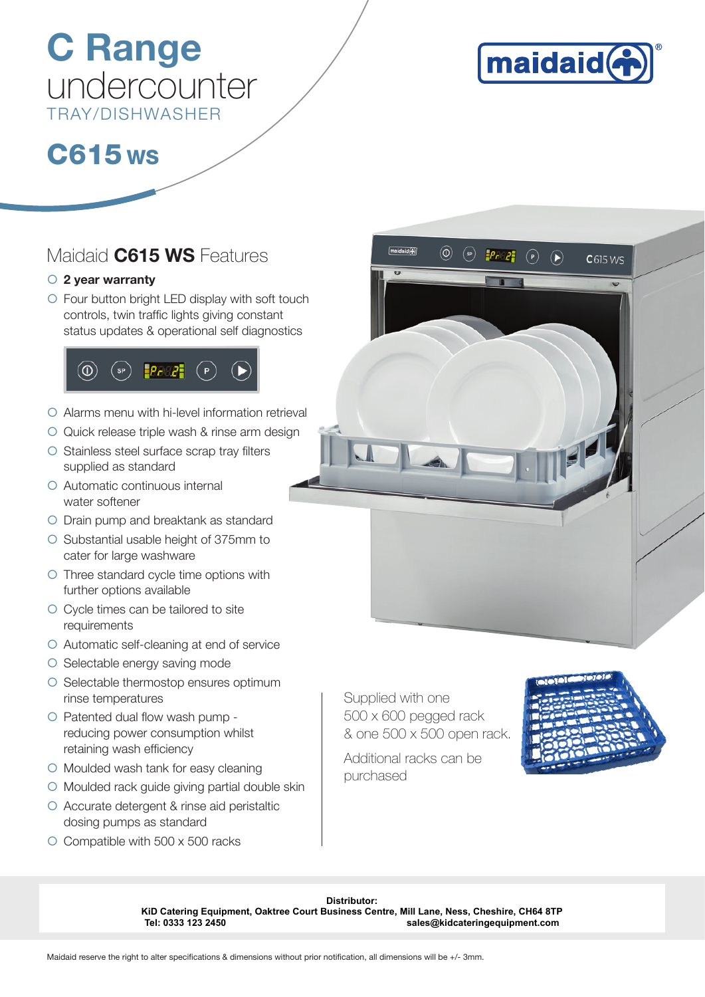## C Range undercounter TRAY/DISHWASHER



 $C615WS$ 

## C615 ws

#### Maidaid **C615 WS** Features

#### $\circ$  2 year warranty

 $\circ$  Four button bright LED display with soft touch controls, twin traffic lights giving constant status updates & operational self diagnostics



- $\circ$  Alarms menu with hi-level information retrieval
- O Quick release triple wash & rinse arm design
- $\circ$  Stainless steel surface scrap tray filters supplied as standard
- { Automatic continuous internal water softener
- { Drain pump and breaktank as standard
- { Substantial usable height of 375mm to cater for large washware
- ${\circ}$  Three standard cycle time options with further options available
- { Cycle times can be tailored to site requirements
- $\circ$  Automatic self-cleaning at end of service
- $\circ$  Selectable energy saving mode
- { Selectable thermostop ensures optimum rinse temperatures
- $\circ$  Patented dual flow wash pump reducing power consumption whilst retaining wash efficiency
- $\circ$  Moulded wash tank for easy cleaning
- $\circ$  Moulded rack guide giving partial double skin
- $\circ$  Accurate detergent & rinse aid peristaltic dosing pumps as standard
- $\circ$  Compatible with 500 x 500 racks

Supplied with one 500 x 600 pegged rack & one 500 x 500 open rack.

 $^{\circledR}$ 

Additional racks can be purchased



**Distributor: KiD Catering Equipment, Oaktree Court Business Centre, Mill Lane, Ness, Cheshire, CH64 8TP Tel: 0333 123 2450 sales@kidcateringequipment.com**